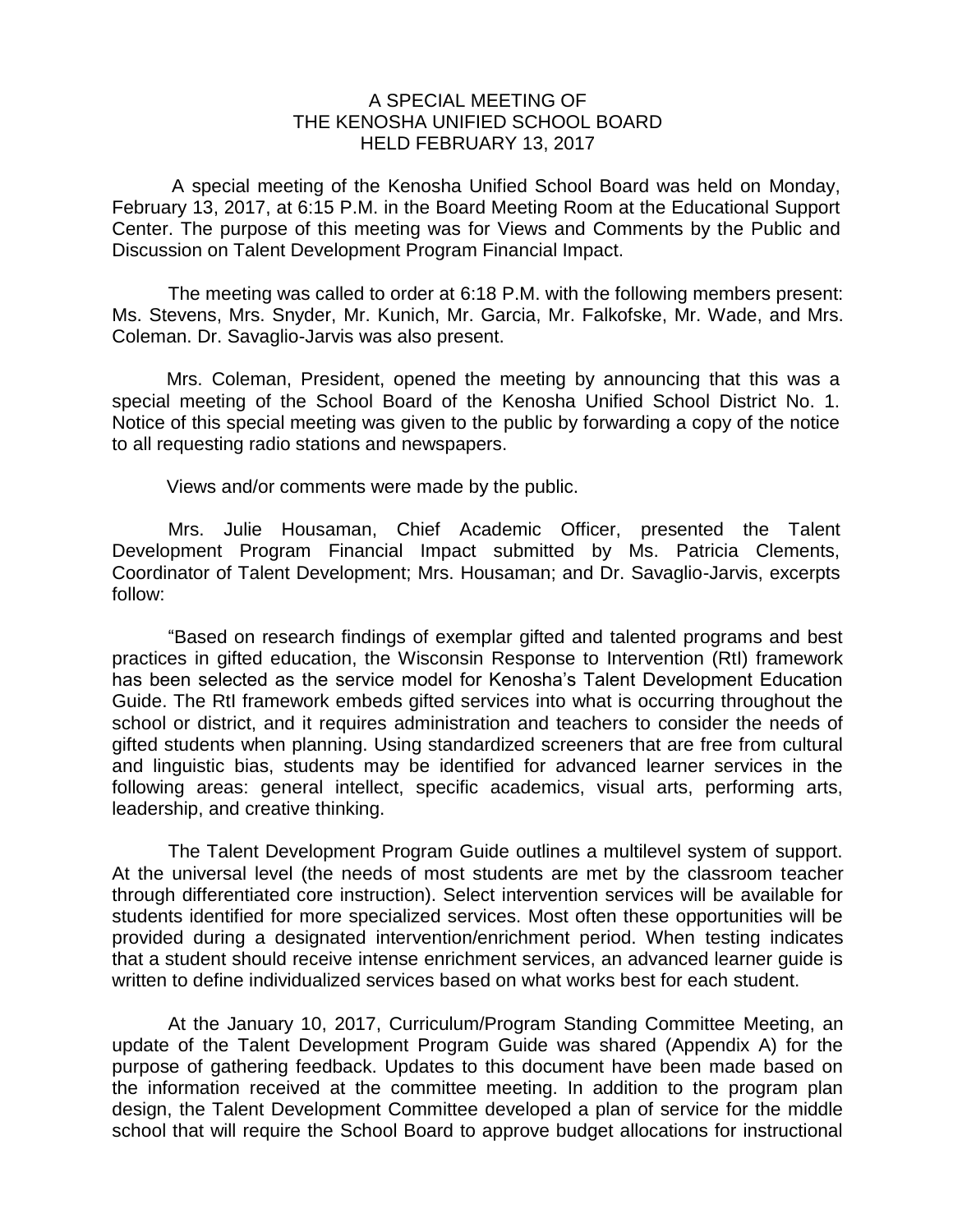## A SPECIAL MEETING OF THE KENOSHA UNIFIED SCHOOL BOARD HELD FEBRUARY 13, 2017

A special meeting of the Kenosha Unified School Board was held on Monday, February 13, 2017, at 6:15 P.M. in the Board Meeting Room at the Educational Support Center. The purpose of this meeting was for Views and Comments by the Public and Discussion on Talent Development Program Financial Impact.

The meeting was called to order at 6:18 P.M. with the following members present: Ms. Stevens, Mrs. Snyder, Mr. Kunich, Mr. Garcia, Mr. Falkofske, Mr. Wade, and Mrs. Coleman. Dr. Savaglio-Jarvis was also present.

Mrs. Coleman, President, opened the meeting by announcing that this was a special meeting of the School Board of the Kenosha Unified School District No. 1. Notice of this special meeting was given to the public by forwarding a copy of the notice to all requesting radio stations and newspapers.

Views and/or comments were made by the public.

Mrs. Julie Housaman, Chief Academic Officer, presented the Talent Development Program Financial Impact submitted by Ms. Patricia Clements, Coordinator of Talent Development; Mrs. Housaman; and Dr. Savaglio-Jarvis, excerpts follow:

"Based on research findings of exemplar gifted and talented programs and best practices in gifted education, the Wisconsin Response to Intervention (RtI) framework has been selected as the service model for Kenosha's Talent Development Education Guide. The RtI framework embeds gifted services into what is occurring throughout the school or district, and it requires administration and teachers to consider the needs of gifted students when planning. Using standardized screeners that are free from cultural and linguistic bias, students may be identified for advanced learner services in the following areas: general intellect, specific academics, visual arts, performing arts, leadership, and creative thinking.

The Talent Development Program Guide outlines a multilevel system of support. At the universal level (the needs of most students are met by the classroom teacher through differentiated core instruction). Select intervention services will be available for students identified for more specialized services. Most often these opportunities will be provided during a designated intervention/enrichment period. When testing indicates that a student should receive intense enrichment services, an advanced learner guide is written to define individualized services based on what works best for each student.

At the January 10, 2017, Curriculum/Program Standing Committee Meeting, an update of the Talent Development Program Guide was shared (Appendix A) for the purpose of gathering feedback. Updates to this document have been made based on the information received at the committee meeting. In addition to the program plan design, the Talent Development Committee developed a plan of service for the middle school that will require the School Board to approve budget allocations for instructional